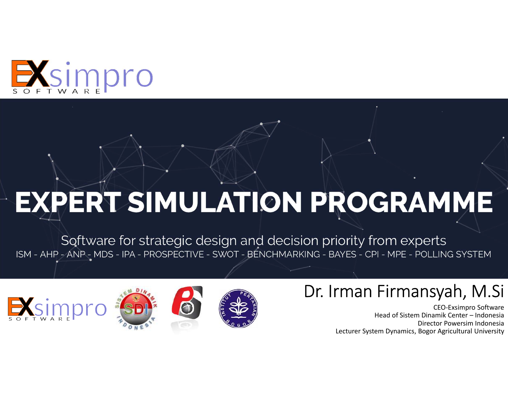

# **EXPERT SIMULATION PROGRAMME**

Software for strategic design and decision priority from experts<br>ISM - AHP - ANP - MDS - IPA - PROSPECTIVE - SWOT - BENCHMARKING - BAYES - CPI - MPE - POLLING SYSTEM



### Dr. Irman Firmansyah, M.Si

CEO-Exsimpro Software Head of Sistem Dinamik Center – Indonesia Director Powersim Indonesia Lecturer System Dynamics, Bogor Agricultural University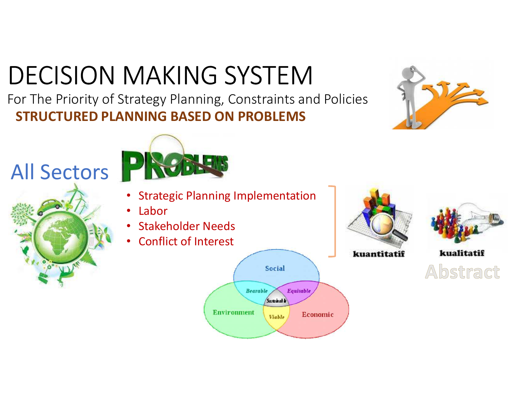# DECISION MAKING SYSTEM

**STRUCTURED PLANNING BASED ON PROBLEMS**For The Priority of Strategy Planning, Constraints and Policies

## All Sectors





- •Strategic Planning Implementation
- •Labor
- •Stakeholder Needs
- Conflict of Interest •





kuantitatif



kualitatif Abstract

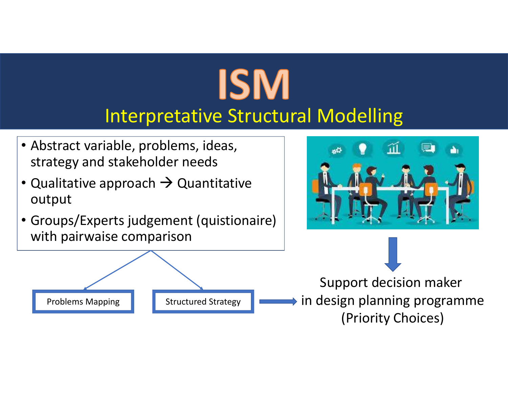# **ISM** Interpretative Structural Modelling

- Abstract variable, problems, ideas, strategy and stakeholder needs
- $\bullet$ • Qualitative approach  $\rightarrow$  Quantitative<br>output output
- Groups/Experts judgement (quistionaire) with pairwaise comparison





Support decision maker in design planning programme(Priority Choices)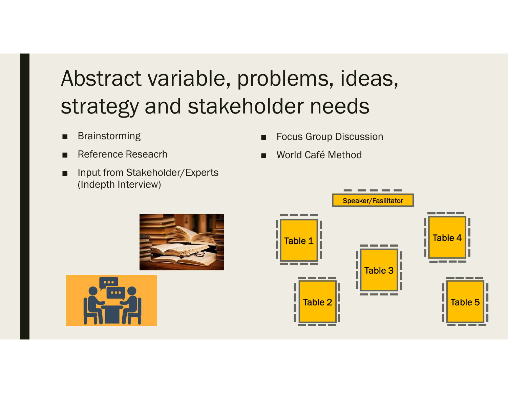## Abstract variable, problems, ideas, strategy and stakeholder needs

- Brainstorming
- Reference Reseacrh
- Input from Stakeholder/Experts (Indepth Interview)
- **Focus Group Discussion**
- World Café Method





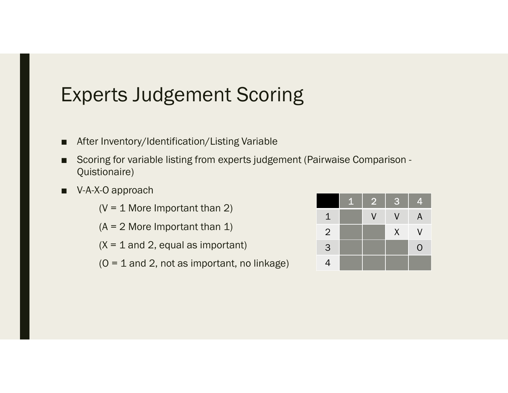## Experts Judgement Scoring

- After Inventory/Identification/Listing Variable
- Scoring for variable listing from experts judgement (Pairwaise Comparison -Quistionaire)
- V-A-X-O approach

 $(V = 1$  More Important than 2)

 $(A = 2$  More Important than 1)

 $(X = 1$  and 2, equal as important)

 $(O = 1$  and 2, not as important, no linkage)

|                | $\mathbf{1}$ | $\overline{2}$           | 3      | 4 |
|----------------|--------------|--------------------------|--------|---|
| 1              |              | $\overline{\mathcal{L}}$ | V      | A |
| $\overline{2}$ |              |                          | $\chi$ | V |
| 3              |              |                          |        | 0 |
| $\overline{4}$ |              |                          |        |   |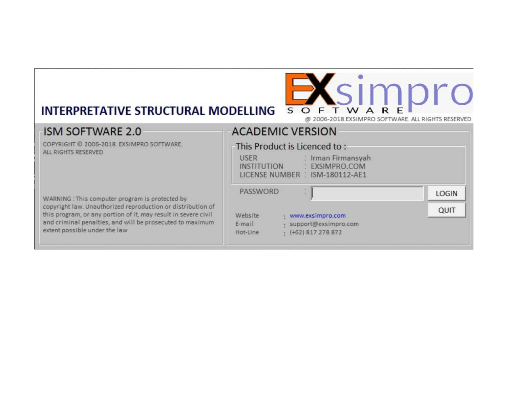# INTERPRETATIVE STRUCTURAL MODELLING SOFTWAREDIO

#### **ACADEMIC VERSION**

@ 2006-2018.EXSIMPRO SOFTWARE, ALL RIGHTS RESERVED

| <b>ISM SOFTWARE 2.0</b>                                                                                                                                                                                                     | <b>ACADEMIC VERSION</b>                                                                                                                      |       |
|-----------------------------------------------------------------------------------------------------------------------------------------------------------------------------------------------------------------------------|----------------------------------------------------------------------------------------------------------------------------------------------|-------|
| COPYRIGHT © 2006-2018. EXSIMPRO SOFTWARE.<br>ALL RIGHTS RESERVED                                                                                                                                                            | This Product is Licenced to:<br><b>USER</b><br>: Irman Firmansyah<br><b>INSTITUTION</b><br>: EXSIMPRO.COM<br>LICENSE NUMBER : ISM-180112-AE1 |       |
| WARNING : This computer program is protected by                                                                                                                                                                             | <b>PASSWORD</b>                                                                                                                              | LOGIN |
| copyright law. Unauthorized reproduction or distribution of<br>this program, or any portion of it, may result in severe civil<br>and criminal penalties, and will be prosecuted to maximum<br>extent possible under the law | Website<br>www.exsimpro.com<br>support@exsimpro.com<br>E-mail<br>$+$ (+62) 817 278 872<br>Hot-Line                                           | QUIT  |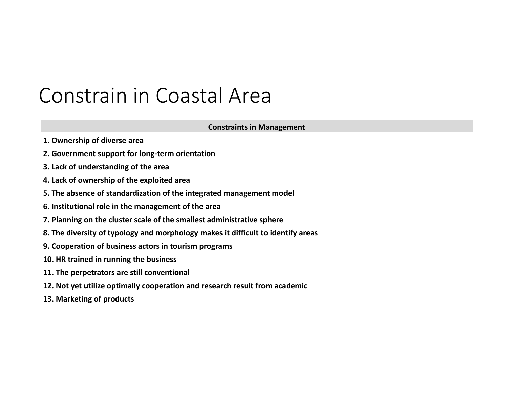## Constrain in Coastal Area

#### **Constraints in Management**

- **1. Ownership of diverse area**
- **2. Government support for long-term orientation**
- **3. Lack of understanding of the area**
- **4. Lack of ownership of the exploited area**
- **5. The absence of standardization of the integrated management model**
- **6. Institutional role in the management of the area**
- **7. Planning on the cluster scale of the smallest administrative sphere**
- **8. The diversity of typology and morphology makes it difficult to identify areas**
- **9. Cooperation of business actors in tourism programs**
- **10. HR trained in running the business**
- **11. The perpetrators are still conventional**
- **12. Not yet utilize optimally cooperation and research result from academic**
- **13. Marketing of products**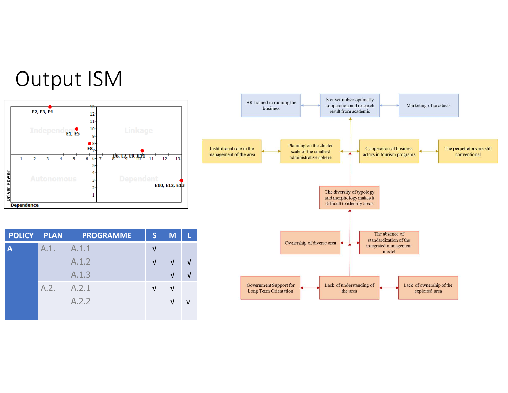



|                                                     | HR trained in running the<br>business                  |                                                                           | Not yet utilize optimally<br>cooperation and research<br>result from academic       |                                                              | Marketing of products                      |                                            |
|-----------------------------------------------------|--------------------------------------------------------|---------------------------------------------------------------------------|-------------------------------------------------------------------------------------|--------------------------------------------------------------|--------------------------------------------|--------------------------------------------|
|                                                     |                                                        |                                                                           |                                                                                     |                                                              |                                            |                                            |
| Institutional role in the<br>management of the area |                                                        | Planning on the cluster<br>scale of the smallest<br>administrative sphere |                                                                                     | <b>Cooperation of business</b><br>actors in tourism programs |                                            | The perpetrators are still<br>conventional |
|                                                     |                                                        |                                                                           |                                                                                     |                                                              |                                            |                                            |
|                                                     |                                                        |                                                                           | The diversity of typology<br>and morphology makes it<br>difficult to identify areas |                                                              |                                            |                                            |
|                                                     |                                                        |                                                                           |                                                                                     | The absence of                                               |                                            |                                            |
|                                                     |                                                        | Ownership of diverse area                                                 |                                                                                     | standardization of the<br>integrated management<br>model     |                                            |                                            |
|                                                     |                                                        |                                                                           |                                                                                     |                                                              |                                            |                                            |
|                                                     | <b>Government Support for</b><br>Long Term Orientation |                                                                           | Lack of understanding of<br>the area                                                |                                                              | Lack of ownership of the<br>exploited area |                                            |

| <b>POLICY</b>           | <b>PLAN</b> | <b>PROGRAMME</b> | S          | M          |            |
|-------------------------|-------------|------------------|------------|------------|------------|
| $\overline{\mathsf{A}}$ | A.1.        | A.1.1            | ν          |            |            |
|                         |             | A.1.2            | $\sqrt{ }$ | $\sqrt{ }$ | $\sqrt{ }$ |
|                         |             | A.1.3            |            | $\sqrt{ }$ | $\sqrt{ }$ |
|                         | A.2.        | A.2.1            | $\sqrt{ }$ | $\sqrt{ }$ |            |
|                         |             | A.2.2            |            | $\sqrt{ }$ | v          |
|                         |             |                  |            |            |            |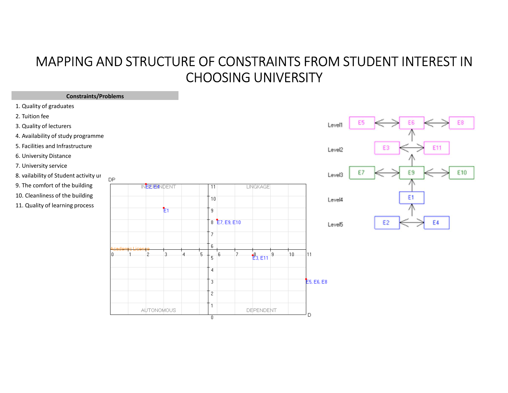#### MAPPING AND STRUCTURE OF CONSTRAINTS FROM STUDENT INTEREST IN CHOOSING UNIVERSITY

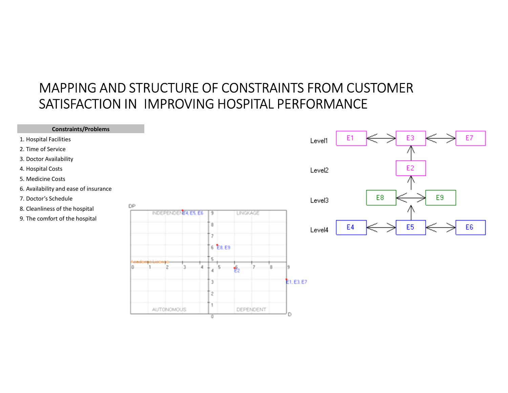#### MAPPING AND STRUCTURE OF CONSTRAINTS FROM CUSTOMER SATISFACTION IN IMPROVING HOSPITAL PERFORMANCE